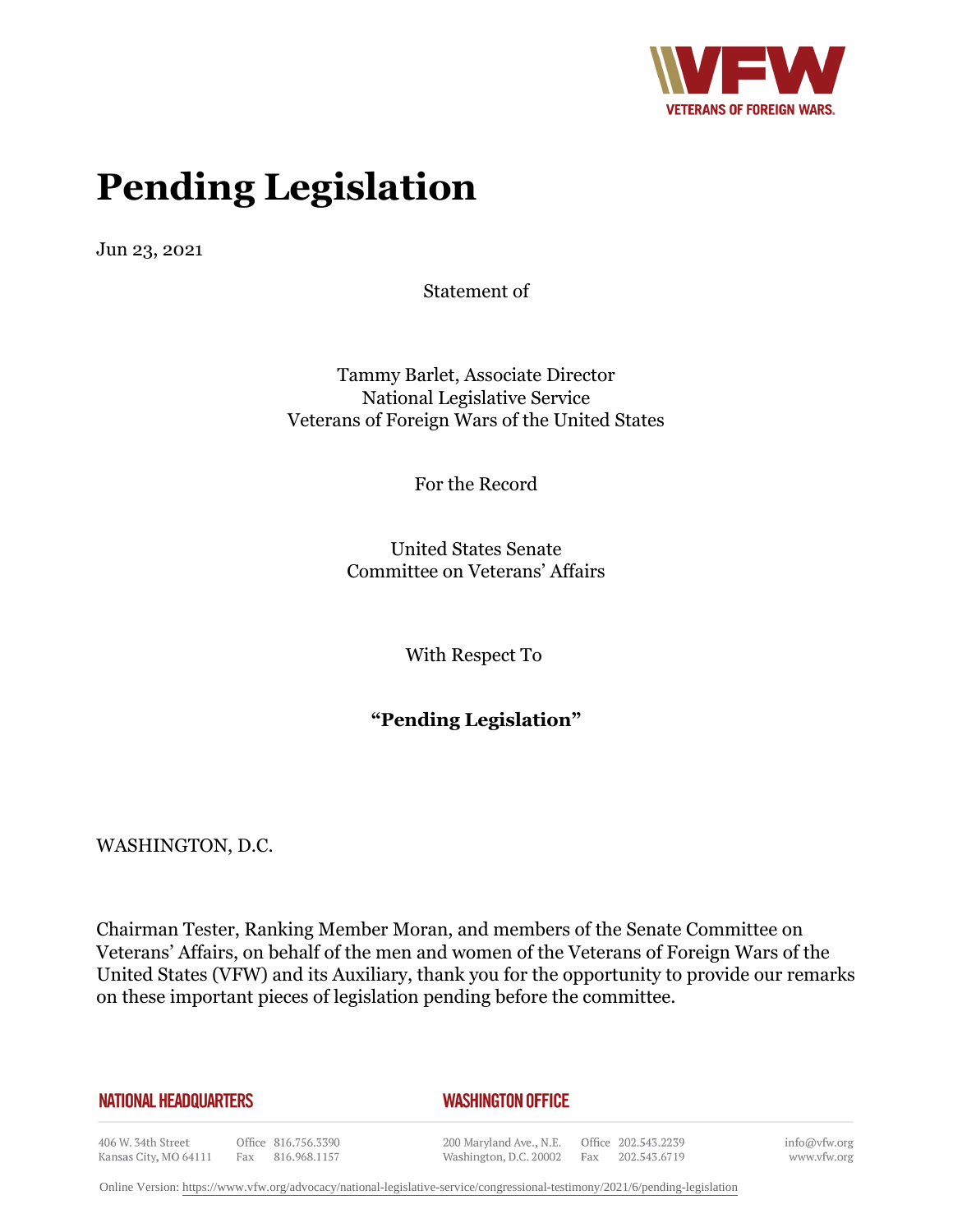

# **Pending Legislation**

Jun 23, 2021

Statement of

Tammy Barlet, Associate Director National Legislative Service Veterans of Foreign Wars of the United States

For the Record

United States Senate Committee on Veterans' Affairs

With Respect To

**"Pending Legislation"**

WASHINGTON, D.C.

Chairman Tester, Ranking Member Moran, and members of the Senate Committee on Veterans' Affairs, on behalf of the men and women of the Veterans of Foreign Wars of the United States (VFW) and its Auxiliary, thank you for the opportunity to provide our remarks on these important pieces of legislation pending before the committee.

#### **NATIONAL HEADQUARTERS**

#### *WASHINGTON OFFICE*

406 W. 34th Street Office 816.756.3390 Fax 816.968.1157 Kansas City, MO 64111

200 Maryland Ave., N.E. Washington, D.C. 20002 Fax 202.543.6719

Office 202.543.2239

info@vfw.org www.vfw.org

Online Version:<https://www.vfw.org/advocacy/national-legislative-service/congressional-testimony/2021/6/pending-legislation>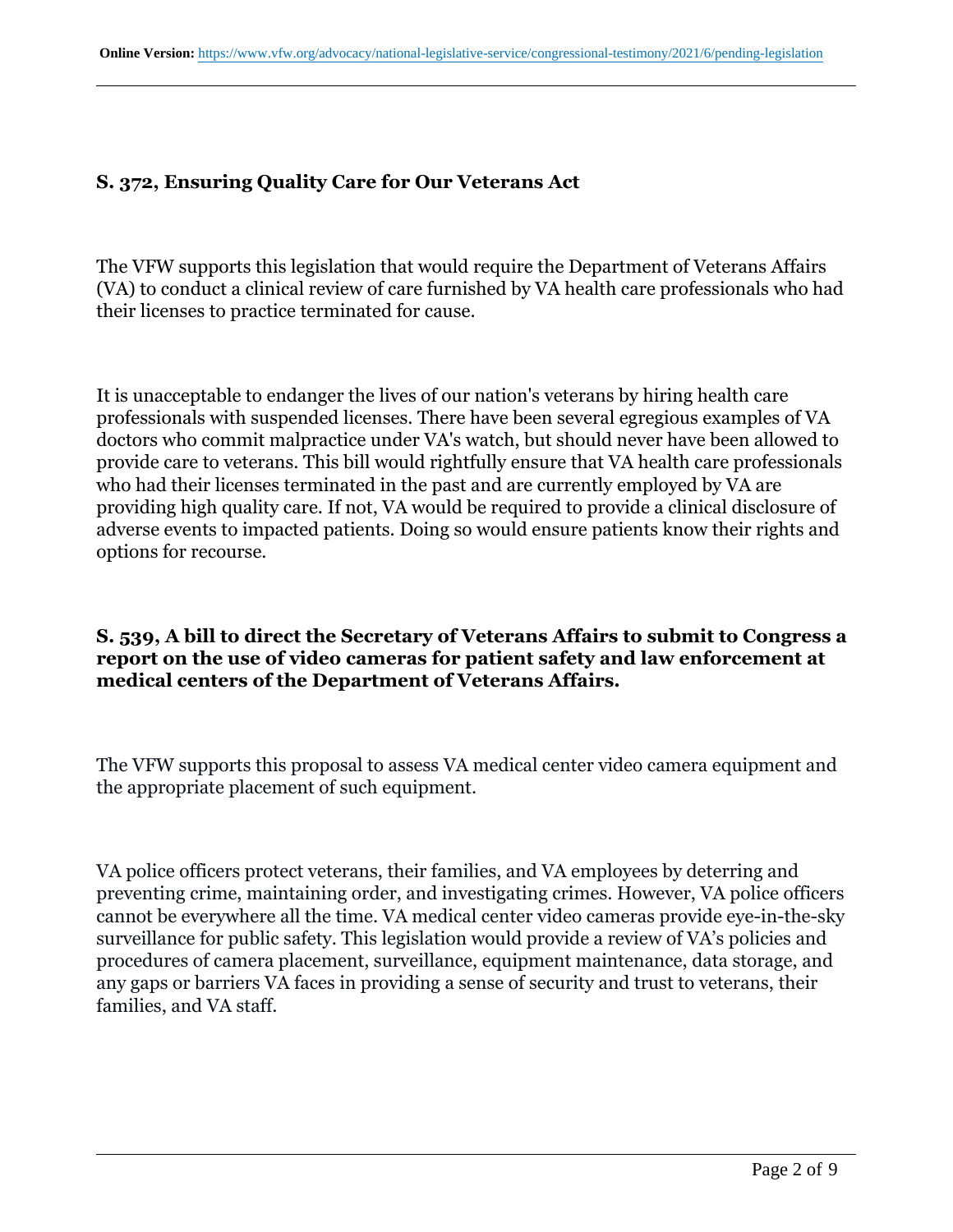# **S. 372, Ensuring Quality Care for Our Veterans Act**

The VFW supports this legislation that would require the Department of Veterans Affairs (VA) to conduct a clinical review of care furnished by VA health care professionals who had their licenses to practice terminated for cause.

It is unacceptable to endanger the lives of our nation's veterans by hiring health care professionals with suspended licenses. There have been several egregious examples of VA doctors who commit malpractice under VA's watch, but should never have been allowed to provide care to veterans. This bill would rightfully ensure that VA health care professionals who had their licenses terminated in the past and are currently employed by VA are providing high quality care. If not, VA would be required to provide a clinical disclosure of adverse events to impacted patients. Doing so would ensure patients know their rights and options for recourse.

#### **S. 539, A bill to direct the Secretary of Veterans Affairs to submit to Congress a report on the use of video cameras for patient safety and law enforcement at medical centers of the Department of Veterans Affairs.**

The VFW supports this proposal to assess VA medical center video camera equipment and the appropriate placement of such equipment.

VA police officers protect veterans, their families, and VA employees by deterring and preventing crime, maintaining order, and investigating crimes. However, VA police officers cannot be everywhere all the time. VA medical center video cameras provide eye-in-the-sky surveillance for public safety. This legislation would provide a review of VA's policies and procedures of camera placement, surveillance, equipment maintenance, data storage, and any gaps or barriers VA faces in providing a sense of security and trust to veterans, their families, and VA staff.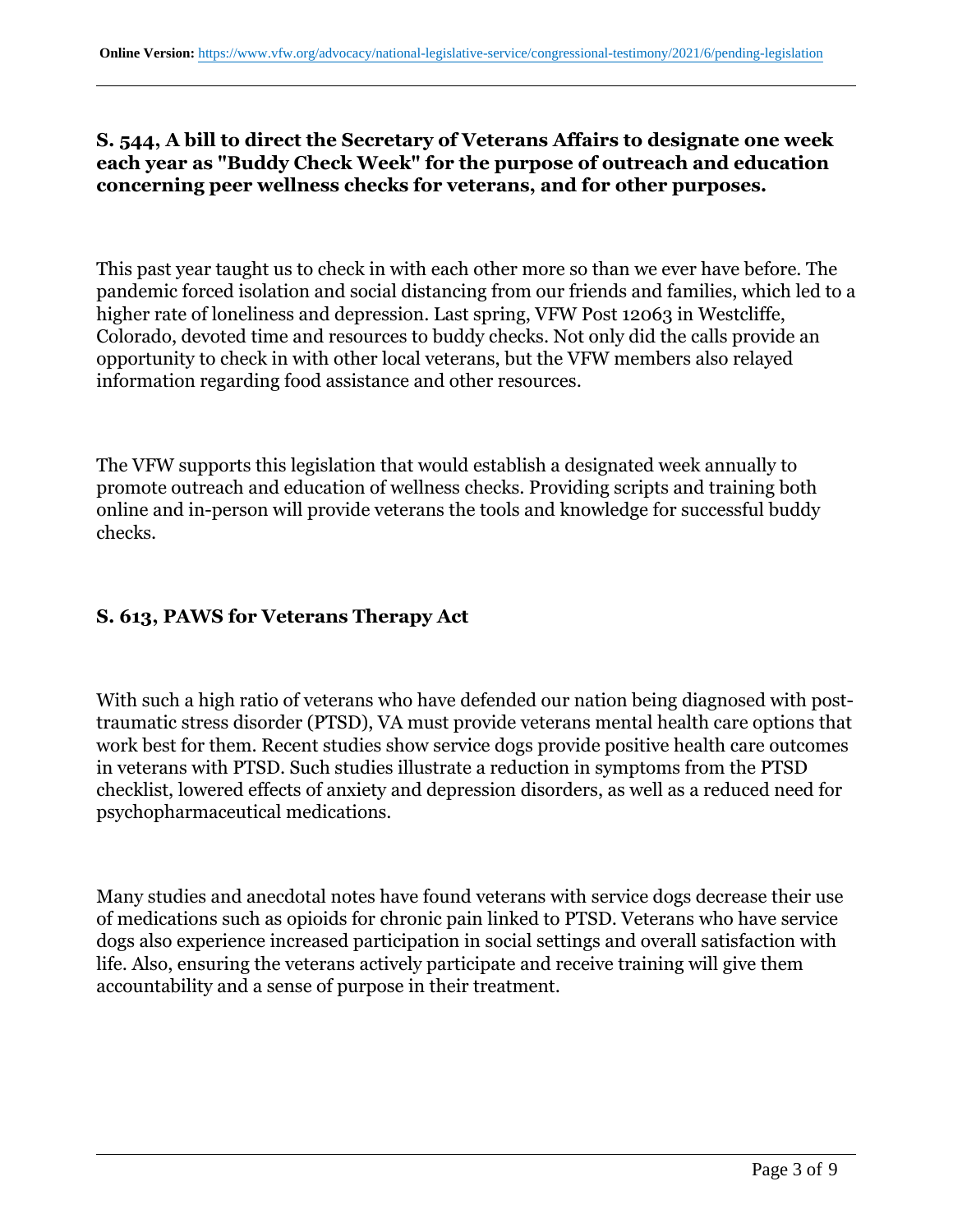## **S. 544, A bill to direct the Secretary of Veterans Affairs to designate one week each year as "Buddy Check Week" for the purpose of outreach and education concerning peer wellness checks for veterans, and for other purposes.**

This past year taught us to check in with each other more so than we ever have before. The pandemic forced isolation and social distancing from our friends and families, which led to a higher rate of loneliness and depression. Last spring, VFW Post 12063 in Westcliffe, Colorado, devoted time and resources to buddy checks. Not only did the calls provide an opportunity to check in with other local veterans, but the VFW members also relayed information regarding food assistance and other resources.

The VFW supports this legislation that would establish a designated week annually to promote outreach and education of wellness checks. Providing scripts and training both online and in-person will provide veterans the tools and knowledge for successful buddy checks.

# **S. 613, PAWS for Veterans Therapy Act**

With such a high ratio of veterans who have defended our nation being diagnosed with posttraumatic stress disorder (PTSD), VA must provide veterans mental health care options that work best for them. Recent studies show service dogs provide positive health care outcomes in veterans with PTSD. Such studies illustrate a reduction in symptoms from the PTSD checklist, lowered effects of anxiety and depression disorders, as well as a reduced need for psychopharmaceutical medications.

Many studies and anecdotal notes have found veterans with service dogs decrease their use of medications such as opioids for chronic pain linked to PTSD. Veterans who have service dogs also experience increased participation in social settings and overall satisfaction with life. Also, ensuring the veterans actively participate and receive training will give them accountability and a sense of purpose in their treatment.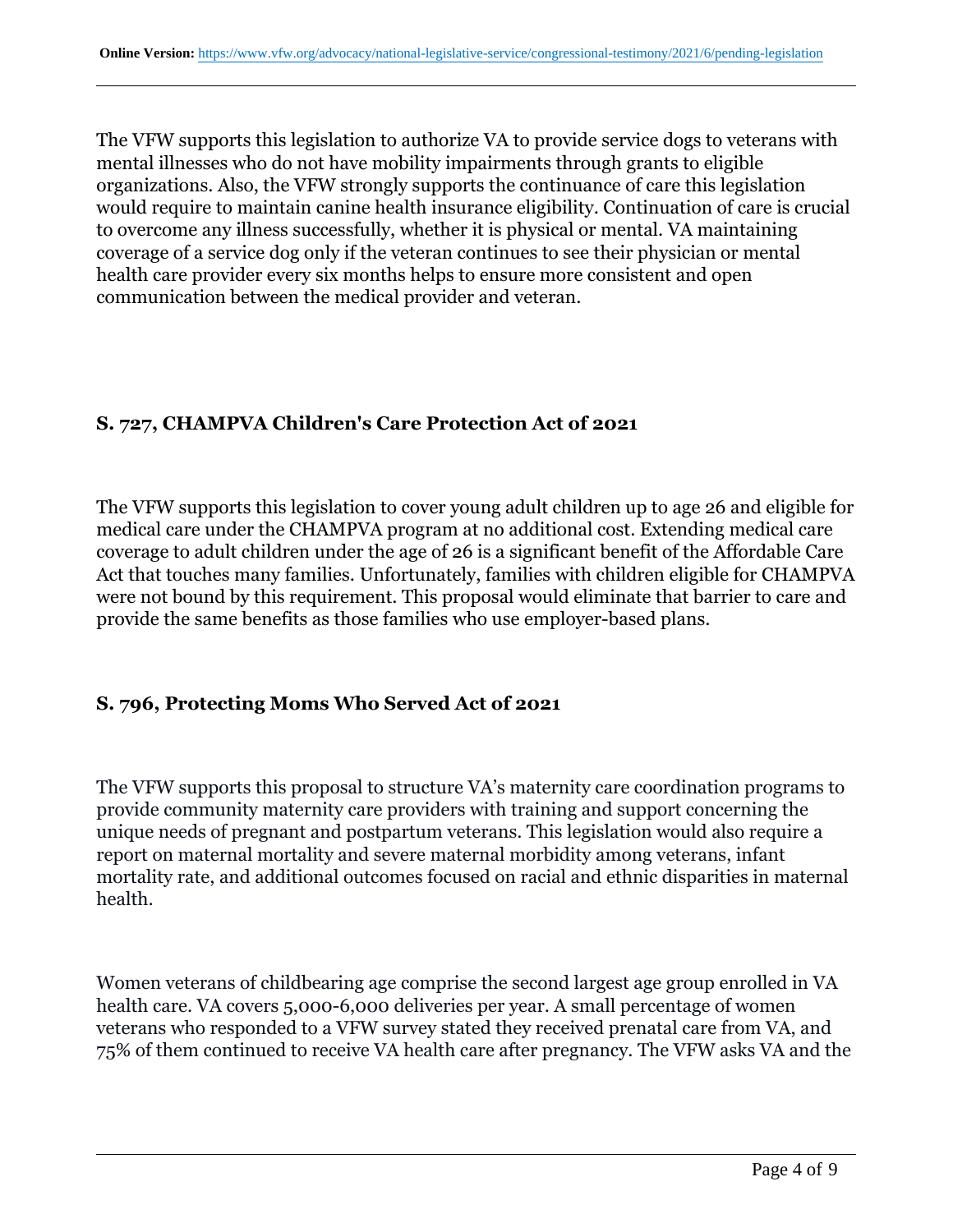The VFW supports this legislation to authorize VA to provide service dogs to veterans with mental illnesses who do not have mobility impairments through grants to eligible organizations. Also, the VFW strongly supports the continuance of care this legislation would require to maintain canine health insurance eligibility. Continuation of care is crucial to overcome any illness successfully, whether it is physical or mental. VA maintaining coverage of a service dog only if the veteran continues to see their physician or mental health care provider every six months helps to ensure more consistent and open communication between the medical provider and veteran.

# **S. 727, CHAMPVA Children's Care Protection Act of 2021**

The VFW supports this legislation to cover young adult children up to age 26 and eligible for medical care under the CHAMPVA program at no additional cost. Extending medical care coverage to adult children under the age of 26 is a significant benefit of the Affordable Care Act that touches many families. Unfortunately, families with children eligible for CHAMPVA were not bound by this requirement. This proposal would eliminate that barrier to care and provide the same benefits as those families who use employer-based plans.

# **S. 796, Protecting Moms Who Served Act of 2021**

The VFW supports this proposal to structure VA's maternity care coordination programs to provide community maternity care providers with training and support concerning the unique needs of pregnant and postpartum veterans. This legislation would also require a report on maternal mortality and severe maternal morbidity among veterans, infant mortality rate, and additional outcomes focused on racial and ethnic disparities in maternal health.

Women veterans of childbearing age comprise the second largest age group enrolled in VA health care. VA covers 5,000-6,000 deliveries per year. A small percentage of women veterans who responded to a VFW survey stated they received prenatal care from VA, and 75% of them continued to receive VA health care after pregnancy. The VFW asks VA and the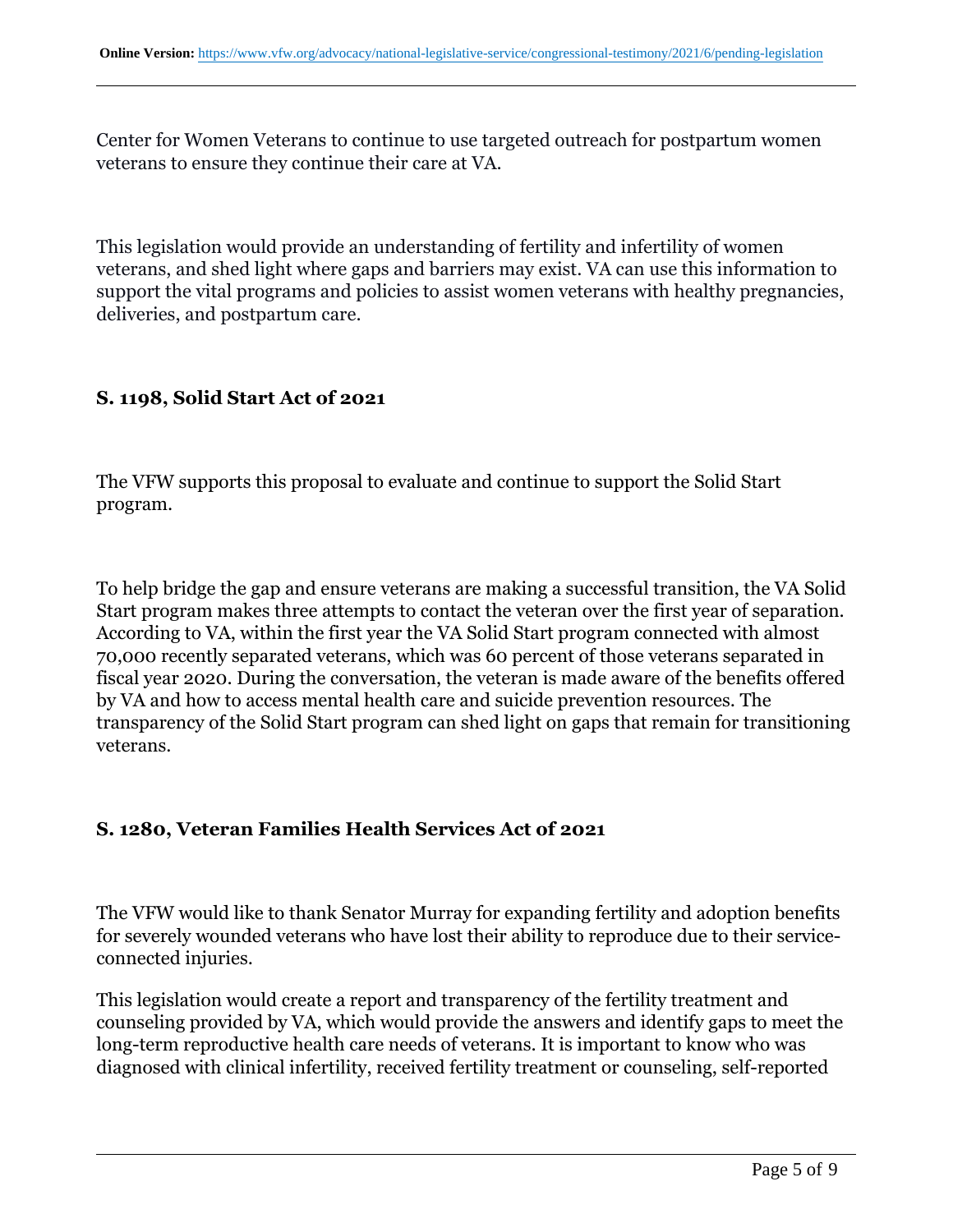Center for Women Veterans to continue to use targeted outreach for postpartum women veterans to ensure they continue their care at VA.

This legislation would provide an understanding of fertility and infertility of women veterans, and shed light where gaps and barriers may exist. VA can use this information to support the vital programs and policies to assist women veterans with healthy pregnancies, deliveries, and postpartum care.

## **S. 1198, Solid Start Act of 2021**

The VFW supports this proposal to evaluate and continue to support the Solid Start program.

To help bridge the gap and ensure veterans are making a successful transition, the VA Solid Start program makes three attempts to contact the veteran over the first year of separation. According to VA, within the first year the VA Solid Start program connected with almost 70,000 recently separated veterans, which was 60 percent of those veterans separated in fiscal year 2020. During the conversation, the veteran is made aware of the benefits offered by VA and how to access mental health care and suicide prevention resources. The transparency of the Solid Start program can shed light on gaps that remain for transitioning veterans.

# **S. 1280, Veteran Families Health Services Act of 2021**

The VFW would like to thank Senator Murray for expanding fertility and adoption benefits for severely wounded veterans who have lost their ability to reproduce due to their serviceconnected injuries.

This legislation would create a report and transparency of the fertility treatment and counseling provided by VA, which would provide the answers and identify gaps to meet the long-term reproductive health care needs of veterans. It is important to know who was diagnosed with clinical infertility, received fertility treatment or counseling, self-reported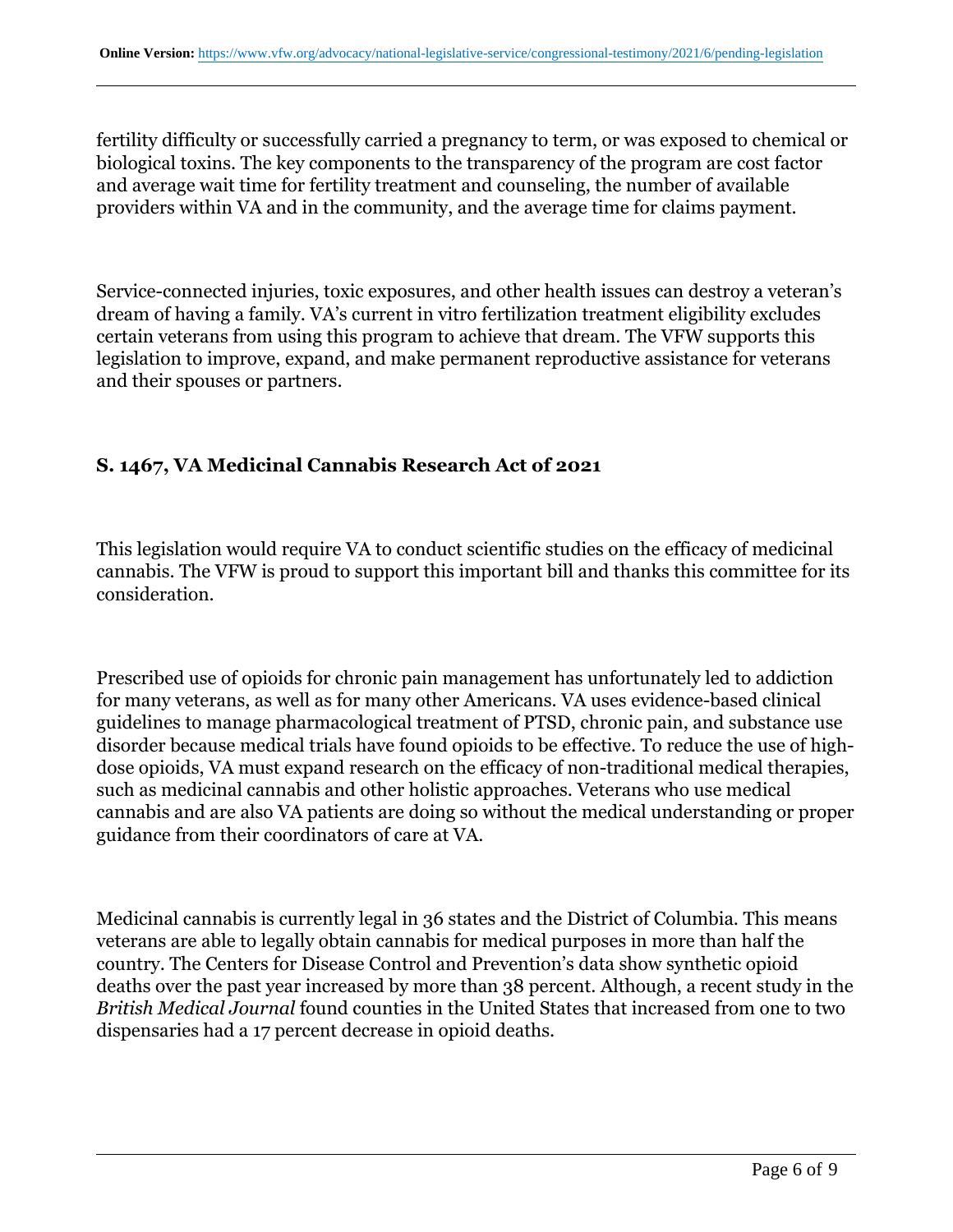fertility difficulty or successfully carried a pregnancy to term, or was exposed to chemical or biological toxins. The key components to the transparency of the program are cost factor and average wait time for fertility treatment and counseling, the number of available providers within VA and in the community, and the average time for claims payment.

Service-connected injuries, toxic exposures, and other health issues can destroy a veteran's dream of having a family. VA's current in vitro fertilization treatment eligibility excludes certain veterans from using this program to achieve that dream. The VFW supports this legislation to improve, expand, and make permanent reproductive assistance for veterans and their spouses or partners.

## **S. 1467, VA Medicinal Cannabis Research Act of 2021**

This legislation would require VA to conduct scientific studies on the efficacy of medicinal cannabis. The VFW is proud to support this important bill and thanks this committee for its consideration.

Prescribed use of opioids for chronic pain management has unfortunately led to addiction for many veterans, as well as for many other Americans. VA uses evidence-based clinical guidelines to manage pharmacological treatment of PTSD, chronic pain, and substance use disorder because medical trials have found opioids to be effective. To reduce the use of highdose opioids, VA must expand research on the efficacy of non-traditional medical therapies, such as medicinal cannabis and other holistic approaches. Veterans who use medical cannabis and are also VA patients are doing so without the medical understanding or proper guidance from their coordinators of care at VA.

Medicinal cannabis is currently legal in 36 states and the District of Columbia. This means veterans are able to legally obtain cannabis for medical purposes in more than half the country. The Centers for Disease Control and Prevention's data show synthetic opioid deaths over the past year increased by more than 38 percent. Although, a recent study in the *British Medical Journal* found counties in the United States that increased from one to two dispensaries had a 17 percent decrease in opioid deaths.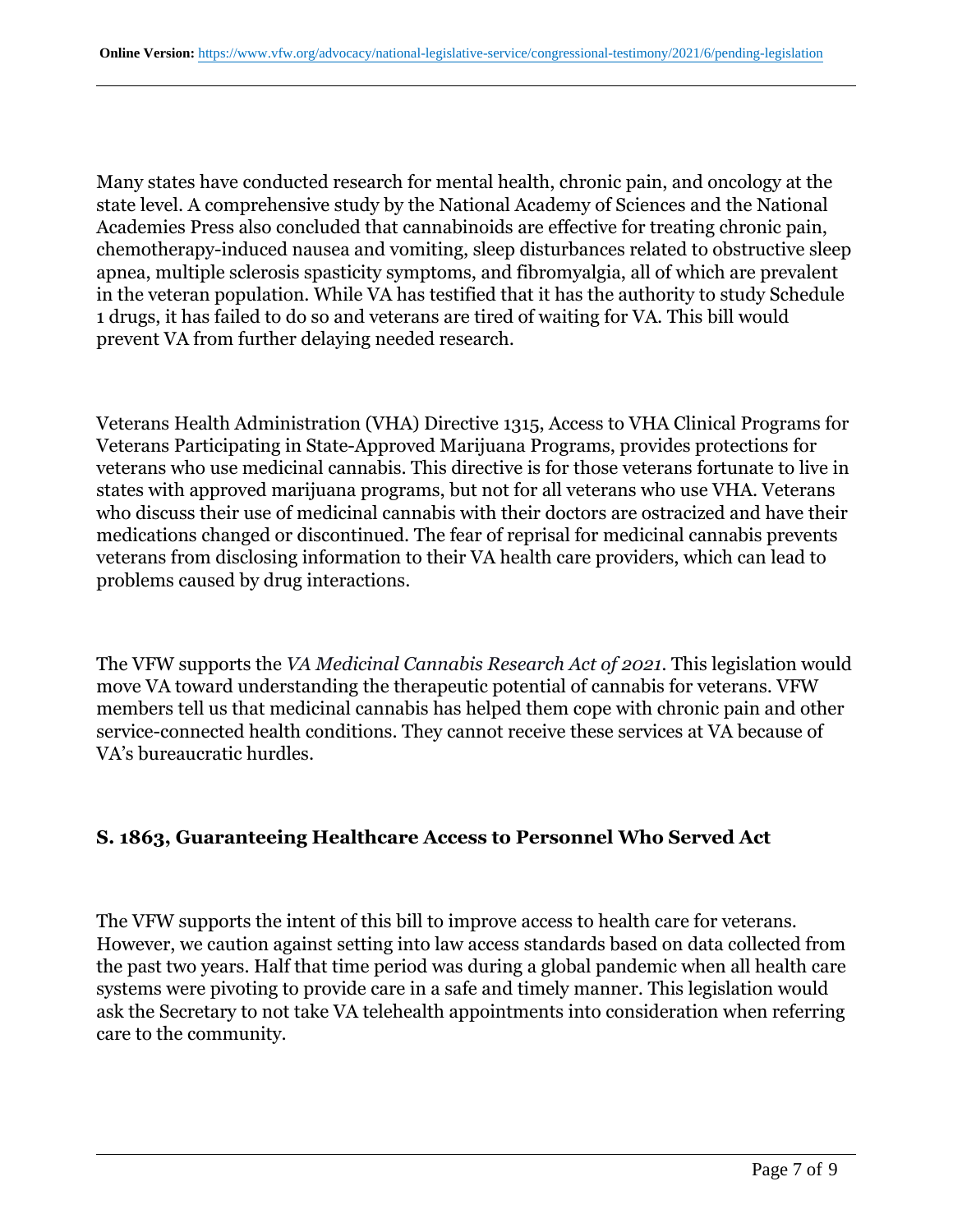Many states have conducted research for mental health, chronic pain, and oncology at the state level. A comprehensive study by the National Academy of Sciences and the National Academies Press also concluded that cannabinoids are effective for treating chronic pain, chemotherapy-induced nausea and vomiting, sleep disturbances related to obstructive sleep apnea, multiple sclerosis spasticity symptoms, and fibromyalgia, all of which are prevalent in the veteran population. While VA has testified that it has the authority to study Schedule 1 drugs, it has failed to do so and veterans are tired of waiting for VA. This bill would prevent VA from further delaying needed research.

Veterans Health Administration (VHA) Directive 1315, Access to VHA Clinical Programs for Veterans Participating in State-Approved Marijuana Programs, provides protections for veterans who use medicinal cannabis. This directive is for those veterans fortunate to live in states with approved marijuana programs, but not for all veterans who use VHA. Veterans who discuss their use of medicinal cannabis with their doctors are ostracized and have their medications changed or discontinued. The fear of reprisal for medicinal cannabis prevents veterans from disclosing information to their VA health care providers, which can lead to problems caused by drug interactions.

The VFW supports the *VA Medicinal Cannabis Research Act of 2021.* This legislation would move VA toward understanding the therapeutic potential of cannabis for veterans. VFW members tell us that medicinal cannabis has helped them cope with chronic pain and other service-connected health conditions. They cannot receive these services at VA because of VA's bureaucratic hurdles.

#### **S. 1863, Guaranteeing Healthcare Access to Personnel Who Served Act**

The VFW supports the intent of this bill to improve access to health care for veterans. However, we caution against setting into law access standards based on data collected from the past two years. Half that time period was during a global pandemic when all health care systems were pivoting to provide care in a safe and timely manner. This legislation would ask the Secretary to not take VA telehealth appointments into consideration when referring care to the community.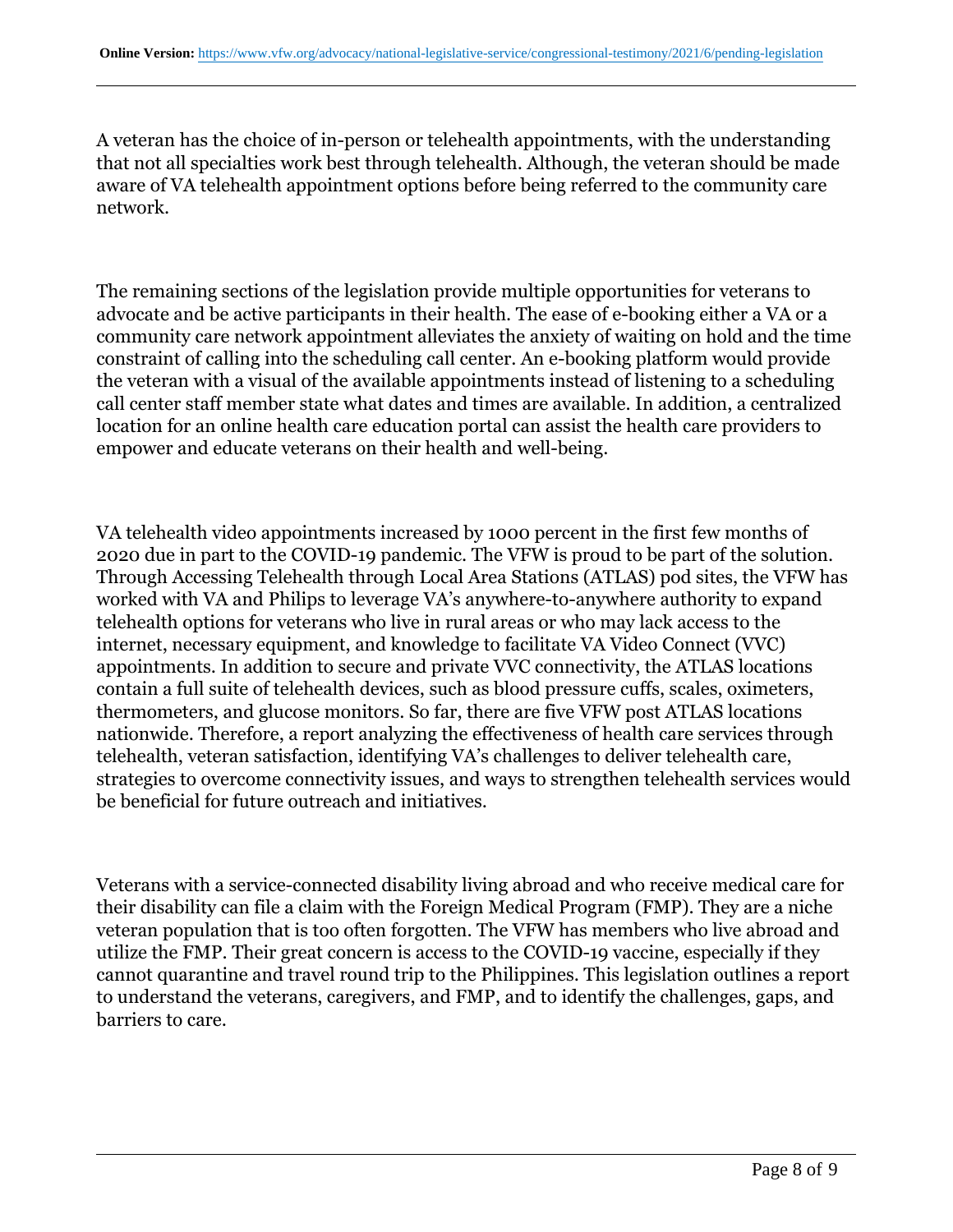A veteran has the choice of in-person or telehealth appointments, with the understanding that not all specialties work best through telehealth. Although, the veteran should be made aware of VA telehealth appointment options before being referred to the community care network.

The remaining sections of the legislation provide multiple opportunities for veterans to advocate and be active participants in their health. The ease of e-booking either a VA or a community care network appointment alleviates the anxiety of waiting on hold and the time constraint of calling into the scheduling call center. An e-booking platform would provide the veteran with a visual of the available appointments instead of listening to a scheduling call center staff member state what dates and times are available. In addition, a centralized location for an online health care education portal can assist the health care providers to empower and educate veterans on their health and well-being.

VA telehealth video appointments increased by 1000 percent in the first few months of 2020 due in part to the COVID-19 pandemic. The VFW is proud to be part of the solution. Through Accessing Telehealth through Local Area Stations (ATLAS) pod sites, the VFW has worked with VA and Philips to leverage VA's anywhere-to-anywhere authority to expand telehealth options for veterans who live in rural areas or who may lack access to the internet, necessary equipment, and knowledge to facilitate VA Video Connect (VVC) appointments. In addition to secure and private VVC connectivity, the ATLAS locations contain a full suite of telehealth devices, such as blood pressure cuffs, scales, oximeters, thermometers, and glucose monitors. So far, there are five VFW post ATLAS locations nationwide. Therefore, a report analyzing the effectiveness of health care services through telehealth, veteran satisfaction, identifying VA's challenges to deliver telehealth care, strategies to overcome connectivity issues, and ways to strengthen telehealth services would be beneficial for future outreach and initiatives.

Veterans with a service-connected disability living abroad and who receive medical care for their disability can file a claim with the Foreign Medical Program (FMP). They are a niche veteran population that is too often forgotten. The VFW has members who live abroad and utilize the FMP. Their great concern is access to the COVID-19 vaccine, especially if they cannot quarantine and travel round trip to the Philippines. This legislation outlines a report to understand the veterans, caregivers, and FMP, and to identify the challenges, gaps, and barriers to care.